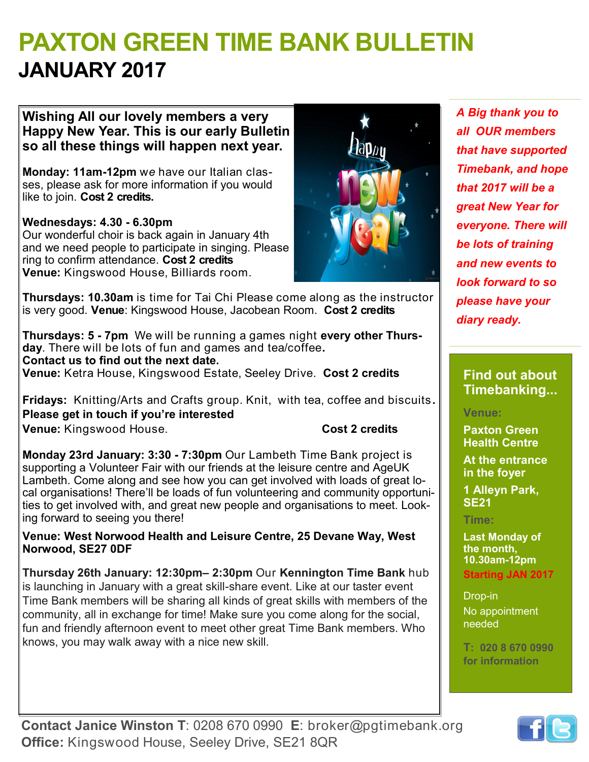# **PAXTON GREEN TIME BANK BULLETIN JANUARY 2017**

#### **Wishing All our lovely members a very Happy New Year. This is our early Bulletin so all these things will happen next year.**

**Monday: 11am-12pm** w*e* have our Italian classes, please ask for more information if you would like to join. **Cost 2 credits.**

#### **Wednesdays: 4.30 - 6.30pm**

Our wonderful choir is back again in January 4th and we need people to participate in singing. Please ring to confirm attendance. **Cost 2 credits Venue:** Kingswood House, Billiards room.

**Thursdays: 10.30am** is time for Tai Chi Please come along as the instructor is very good. **Venue**: Kingswood House, Jacobean Room. **Cost 2 credits**

**Thursdays: 5 - 7pm** We will be running a games night **every other Thursday**. There will be lots of fun and games and tea/coffee**. Contact us to find out the next date. Venue:** Ketra House, Kingswood Estate, Seeley Drive. **Cost 2 credits** 

**Fridays:** Knitting/Arts and Crafts group. Knit, with tea, coffee and biscuits**. Please get in touch if you're interested Venue:** Kingswood House. **Cost 2 credits** 

**Monday 23rd January: 3:30 - 7:30pm** Our Lambeth Time Bank project is supporting a Volunteer Fair with our friends at the leisure centre and AgeUK Lambeth. Come along and see how you can get involved with loads of great local organisations! There'll be loads of fun volunteering and community opportunities to get involved with, and great new people and organisations to meet. Looking forward to seeing you there!

**Venue: West Norwood Health and Leisure Centre, 25 Devane Way, West Norwood, SE27 0DF**

**Thursday 26th January: 12:30pm– 2:30pm** Our **Kennington Time Bank** hub is launching in January with a great skill-share event. Like at our taster event Time Bank members will be sharing all kinds of great skills with members of the community, all in exchange for time! Make sure you come along for the social, fun and friendly afternoon event to meet other great Time Bank members. Who knows, you may walk away with a nice new skill.



**Find out about Timebanking...** 

#### **Venue:**

**Paxton Green Health Centre** 

**At the entrance in the foyer**

**1 Alleyn Park, SE21**

#### **Time:**

**Last Monday of the month, 10.30am-12pm Starting JAN 2017**

Drop-in No appointment needed

**T: 020 8 670 0990 for information**